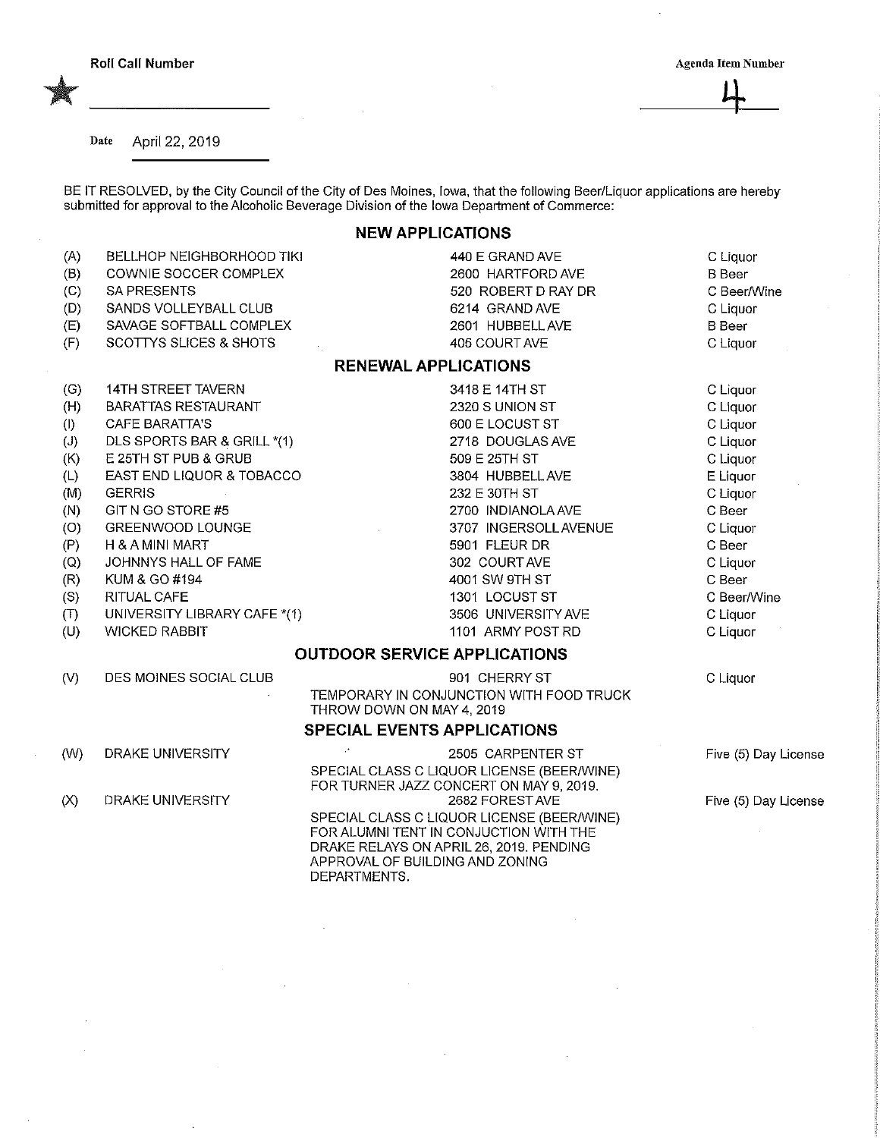Date April 22, 2019

BE IT RESOLVED, by the City Council of the City of Des Moines, Iowa, that the foilowing Beer/Liquor applications are hereby submitted for approval to the Alcoholic Beverage Division of the Iowa Department of Commerce:

## NEW APPLICATIONS

| (A)<br>(B)<br>(C)<br>(D)<br>(E) | BELLHOP NEIGHBORHOOD TIKI<br>COWNIE SOCCER COMPLEX<br>SA PRESENTS<br>SANDS VOLLEYBALL CLUB<br>SAVAGE SOFTBALL COMPLEX | 440 E GRAND AVE<br>2600 HARTFORD AVE<br>520 ROBERT D RAY DR<br>6214 GRAND AVE<br>2601 HUBBELL AVE                                                                                  | C Liquor<br><b>B</b> Beer<br>C Beer/Wine<br>C Liquor<br><b>B</b> Beer |
|---------------------------------|-----------------------------------------------------------------------------------------------------------------------|------------------------------------------------------------------------------------------------------------------------------------------------------------------------------------|-----------------------------------------------------------------------|
| (F)                             | SCOTTYS SLICES & SHOTS                                                                                                | 405 COURT AVE<br><b>RENEWAL APPLICATIONS</b>                                                                                                                                       | C Liquor                                                              |
|                                 |                                                                                                                       |                                                                                                                                                                                    |                                                                       |
| (G)                             | 14TH STREET TAVERN                                                                                                    | 3418 E 14TH ST                                                                                                                                                                     | C Liquor                                                              |
| (H)                             | <b>BARATTAS RESTAURANT</b>                                                                                            | 2320 S UNION ST                                                                                                                                                                    | C Liquor                                                              |
| (1)                             | <b>CAFE BARATTA'S</b>                                                                                                 | 600 E LOCUST ST                                                                                                                                                                    | C Liquor                                                              |
| (J)                             | DLS SPORTS BAR & GRILL *(1)                                                                                           | 2718 DOUGLAS AVE                                                                                                                                                                   | C Liquor                                                              |
| (K)                             | E 25TH ST PUB & GRUB                                                                                                  | 509 E 25TH ST                                                                                                                                                                      | C Liquor                                                              |
| (L)                             | EAST END LIQUOR & TOBACCO                                                                                             | 3804 HUBBELL AVE                                                                                                                                                                   | E Liquor                                                              |
| (M)                             | <b>GERRIS</b>                                                                                                         | 232 E 30TH ST                                                                                                                                                                      | C Liquor                                                              |
| (N)                             | GIT N GO STORE #5                                                                                                     | 2700 INDIANOLA AVE                                                                                                                                                                 | C Beer                                                                |
| (O)                             | GREENWOOD LOUNGE                                                                                                      | 3707 INGERSOLL AVENUE                                                                                                                                                              | C Liquor                                                              |
| (P)                             | H & A MINI MART                                                                                                       | 5901 FLEUR DR                                                                                                                                                                      | C Beer                                                                |
| (Q)                             | JOHNNYS HALL OF FAME                                                                                                  | 302 COURT AVE                                                                                                                                                                      | C Liquor                                                              |
| (R)                             | KUM & GO #194                                                                                                         | 4001 SW 9TH ST                                                                                                                                                                     | C Beer                                                                |
| (S)                             | RITUAL CAFE                                                                                                           | 1301 LOCUST ST                                                                                                                                                                     | C Beer/Wine                                                           |
| (T)                             | UNIVERSITY LIBRARY CAFE *(1)                                                                                          | 3506 UNIVERSITY AVE                                                                                                                                                                | C Liquor                                                              |
| (U)                             | <b>WICKED RABBIT</b>                                                                                                  | 1101 ARMY POST RD                                                                                                                                                                  | C Liquor                                                              |
|                                 |                                                                                                                       | <b>OUTDOOR SERVICE APPLICATIONS</b>                                                                                                                                                |                                                                       |
| (V)                             | DES MOINES SOCIAL CLUB                                                                                                | 901 CHERRY ST                                                                                                                                                                      | C Liquor                                                              |
|                                 |                                                                                                                       | TEMPORARY IN CONJUNCTION WITH FOOD TRUCK<br>THROW DOWN ON MAY 4, 2019                                                                                                              |                                                                       |
|                                 |                                                                                                                       | <b>SPECIAL EVENTS APPLICATIONS</b>                                                                                                                                                 |                                                                       |
| (W)                             | DRAKE UNIVERSITY                                                                                                      | $\mathcal{C}$<br>2505 CARPENTER ST                                                                                                                                                 | Five (5) Day License                                                  |
|                                 |                                                                                                                       | SPECIAL CLASS C LIQUOR LICENSE (BEER/WINE)<br>FOR TURNER JAZZ CONCERT ON MAY 9, 2019.                                                                                              |                                                                       |
| (X)                             | DRAKE UNIVERSITY                                                                                                      | 2682 FOREST AVE                                                                                                                                                                    | Five (5) Day License                                                  |
|                                 |                                                                                                                       | SPECIAL CLASS C LIQUOR LICENSE (BEER/WINE)<br>FOR ALUMNI TENT IN CONJUCTION WITH THE<br>DRAKE RELAYS ON APRIL 26, 2019. PENDING<br>APPROVAL OF BUILDING AND ZONING<br>DEPARTMENTS. |                                                                       |
|                                 |                                                                                                                       |                                                                                                                                                                                    |                                                                       |
|                                 |                                                                                                                       |                                                                                                                                                                                    |                                                                       |

 $\cdot$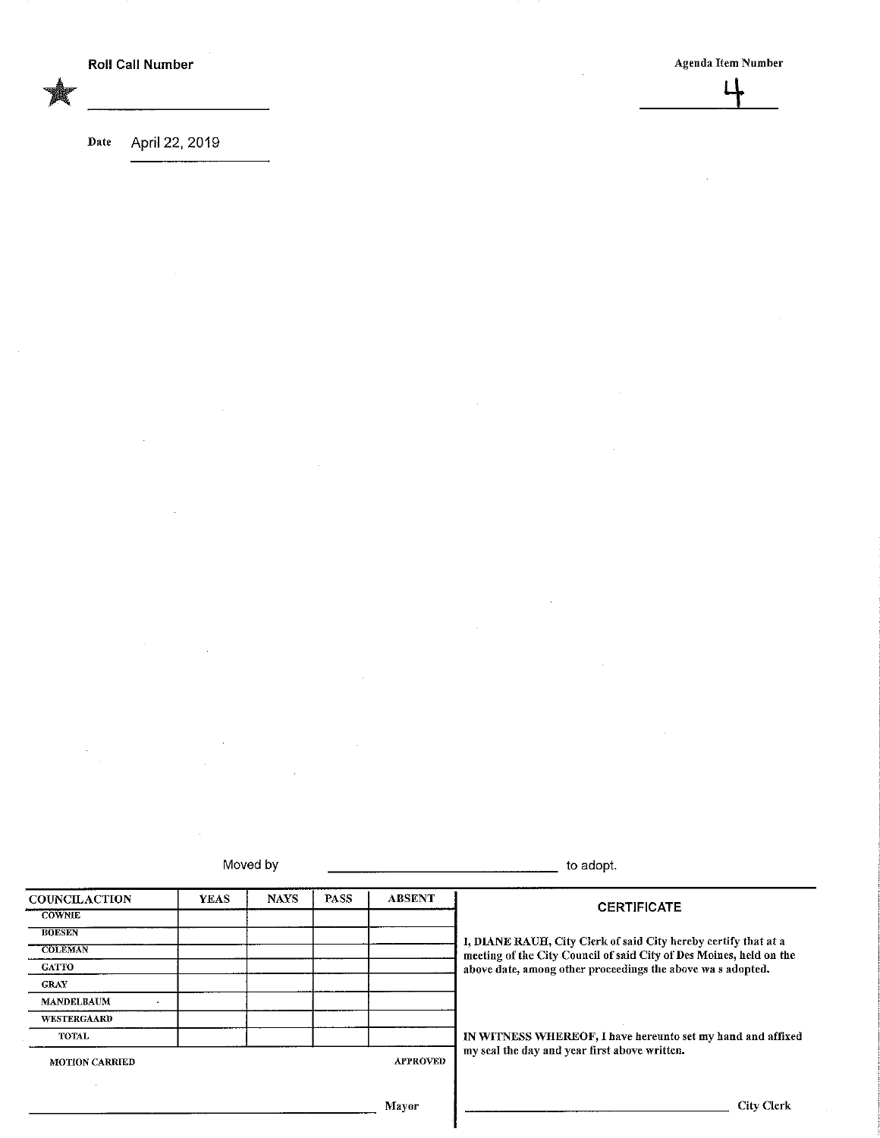$\sqcup$ 

Date April 22, 2019

i,

 $\hat{\mathcal{A}}$ 

 $\mathcal{A}$ 

 $\hat{\mathcal{A}}$ 

| Moved by                            |             |                 | to adopt.                                     |               |                                                                     |  |
|-------------------------------------|-------------|-----------------|-----------------------------------------------|---------------|---------------------------------------------------------------------|--|
| <b>COUNCILACTION</b>                | <b>YEAS</b> | <b>NAVS</b>     | <b>PASS</b>                                   | <b>ABSENT</b> | <b>CERTIFICATE</b>                                                  |  |
| <b>COWNUE</b>                       |             |                 |                                               |               |                                                                     |  |
| <b>BOESEN</b>                       |             |                 |                                               |               | I, DIANE RAUH, City Clerk of said City hereby certify that at a     |  |
| <b>COLEMAN</b>                      |             |                 |                                               |               | meeting of the City Council of said City of Des Moines, held on the |  |
| <b>GATTO</b>                        |             |                 |                                               |               | above date, among other proceedings the above was adopted.          |  |
| <b>GRAY</b>                         |             |                 |                                               |               |                                                                     |  |
| <b>MANDELBAUM</b><br>$\blacksquare$ |             |                 |                                               |               |                                                                     |  |
| WESTERGAARD                         |             |                 |                                               |               |                                                                     |  |
| TOTAL                               |             |                 |                                               |               | IN WITNESS WHEREOF, I have hereunto set my hand and affixed         |  |
| <b>MOTION CARRIED</b>               |             | <b>APPROVED</b> | my seal the day and year first above written. |               |                                                                     |  |
|                                     |             |                 |                                               |               |                                                                     |  |
|                                     |             |                 |                                               | Mayor         | <b>City Clerk</b>                                                   |  |

ä,